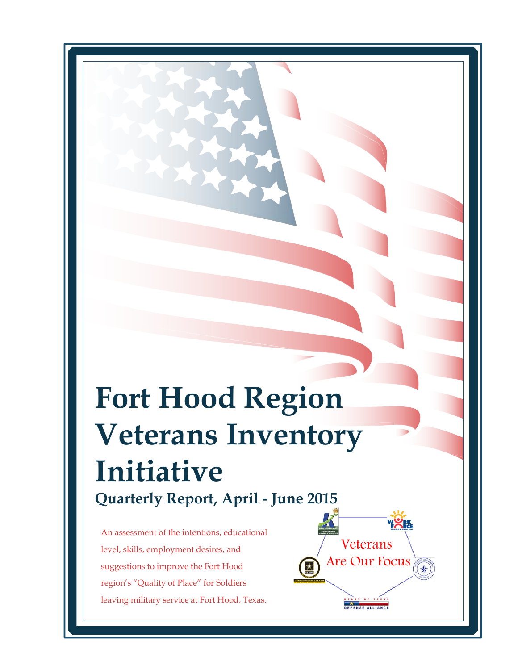# **Fort Hood Region Veterans Inventory Initiative Quarterly Report, April - June 2015**

Veterans

Are Our Focus

OF TEXA DEFENSE ALLIANCE

An assessment of the intentions, educational level, skills, employment desires, and suggestions to improve the Fort Hood region's "Quality of Place" for Soldiers leaving military service at Fort Hood, Texas.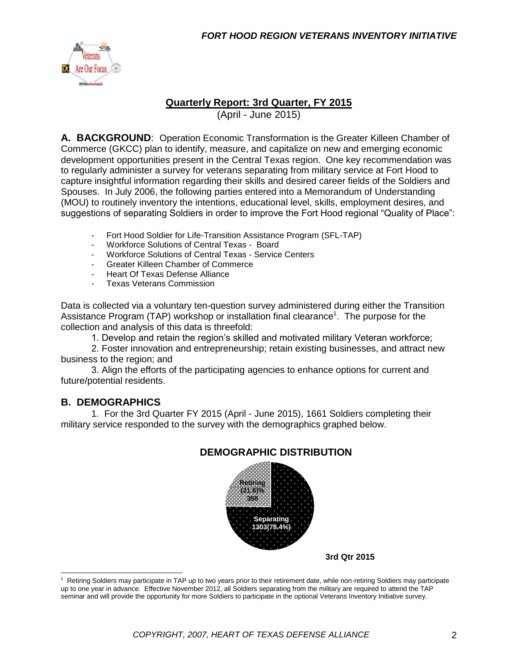

#### **Quarterly Report: 3rd Quarter, FY 2015**

(April - June 2015)

**A. BACKGROUND**: Operation Economic Transformation is the Greater Killeen Chamber of Commerce (GKCC) plan to identify, measure, and capitalize on new and emerging economic development opportunities present in the Central Texas region. One key recommendation was to regularly administer a survey for veterans separating from military service at Fort Hood to capture insightful information regarding their skills and desired career fields of the Soldiers and Spouses. In July 2006, the following parties entered into a Memorandum of Understanding (MOU) to routinely inventory the intentions, educational level, skills, employment desires, and suggestions of separating Soldiers in order to improve the Fort Hood regional "Quality of Place":

- Fort Hood Soldier for Life-Transition Assistance Program (SFL-TAP)
- Workforce Solutions of Central Texas Board
- Workforce Solutions of Central Texas Service Centers
- Greater Killeen Chamber of Commerce
- Heart Of Texas Defense Alliance
- Texas Veterans Commission

Data is collected via a voluntary ten-question survey administered during either the Transition Assistance Program (TAP) workshop or installation final clearance<sup>1</sup>. The purpose for the collection and analysis of this data is threefold:

1. Develop and retain the region's skilled and motivated military Veteran workforce;

2. Foster innovation and entrepreneurship; retain existing businesses, and attract new business to the region; and

3. Align the efforts of the participating agencies to enhance options for current and future/potential residents.

#### **B. DEMOGRAPHICS**

1. For the 3rd Quarter FY 2015 (April - June 2015), 1661 Soldiers completing their military service responded to the survey with the demographics graphed below.



#### **DEMOGRAPHIC DISTRIBUTION**

**3rd Qtr 2015**

 $1$  Retiring Soldiers may participate in TAP up to two years prior to their retirement date, while non-retiring Soldiers may participate up to one year in advance. Effective November 2012, all Soldiers separating from the military are required to attend the TAP seminar and will provide the opportunity for more Soldiers to participate in the optional Veterans Inventory Initiative survey.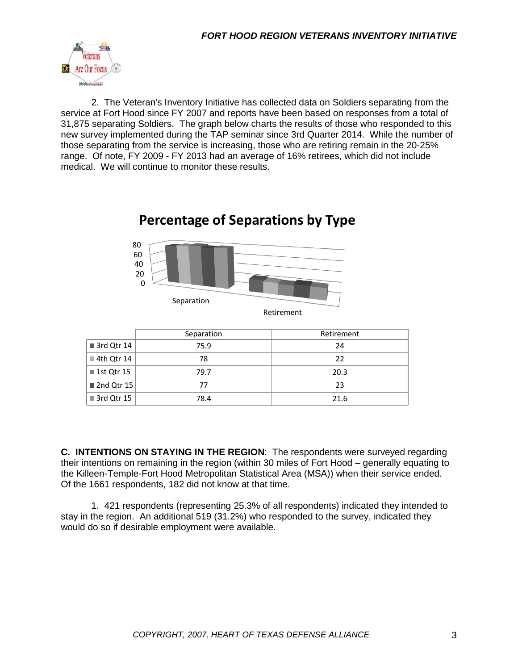

2. The Veteran's Inventory Initiative has collected data on Soldiers separating from the service at Fort Hood since FY 2007 and reports have been based on responses from a total of 31,875 separating Soldiers. The graph below charts the results of those who responded to this new survey implemented during the TAP seminar since 3rd Quarter 2014. While the number of those separating from the service is increasing, those who are retiring remain in the 20-25% range. Of note, FY 2009 - FY 2013 had an average of 16% retirees, which did not include medical. We will continue to monitor these results.



|                           | Separation | Retirement |
|---------------------------|------------|------------|
| ■ 3rd Qtr 14              | 75.9       | 24         |
| $\blacksquare$ 4th Qtr 14 | 78         | 22         |
| ■ 1st Qtr 15              | 79.7       | 20.3       |
| $\blacksquare$ 2nd Qtr 15 | 77         | 23         |
| $\blacksquare$ 3rd Qtr 15 | 78.4       | 21.6       |

**C. INTENTIONS ON STAYING IN THE REGION**: The respondents were surveyed regarding their intentions on remaining in the region (within 30 miles of Fort Hood – generally equating to the Killeen-Temple-Fort Hood Metropolitan Statistical Area (MSA)) when their service ended. Of the 1661 respondents, 182 did not know at that time.

1. 421 respondents (representing 25.3% of all respondents) indicated they intended to stay in the region. An additional 519 (31.2%) who responded to the survey, indicated they would do so if desirable employment were available.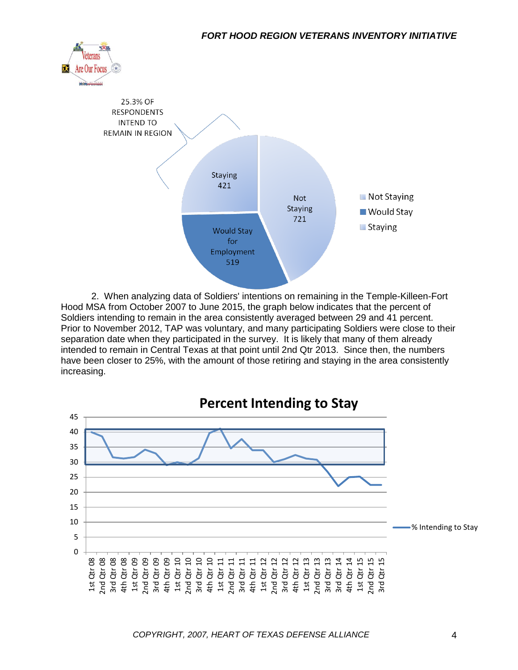



2. When analyzing data of Soldiers' intentions on remaining in the Temple-Killeen-Fort Hood MSA from October 2007 to June 2015, the graph below indicates that the percent of Soldiers intending to remain in the area consistently averaged between 29 and 41 percent. Prior to November 2012, TAP was voluntary, and many participating Soldiers were close to their separation date when they participated in the survey. It is likely that many of them already intended to remain in Central Texas at that point until 2nd Qtr 2013. Since then, the numbers have been closer to 25%, with the amount of those retiring and staying in the area consistently increasing.

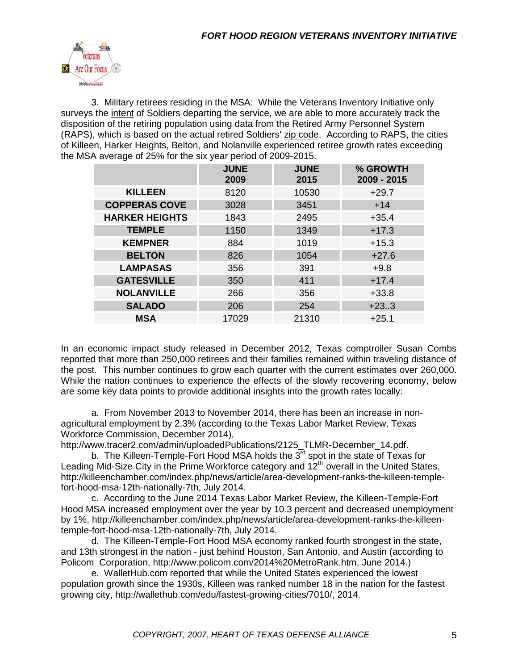

3. Military retirees residing in the MSA: While the Veterans Inventory Initiative only surveys the intent of Soldiers departing the service, we are able to more accurately track the disposition of the retiring population using data from the Retired Army Personnel System (RAPS), which is based on the actual retired Soldiers' zip code. According to RAPS, the cities of Killeen, Harker Heights, Belton, and Nolanville experienced retiree growth rates exceeding the MSA average of 25% for the six year period of 2009-2015.

|                       | <b>JUNE</b><br>2009 | <b>JUNE</b><br>2015 | % GROWTH<br>2009 - 2015 |
|-----------------------|---------------------|---------------------|-------------------------|
| <b>KILLEEN</b>        | 8120                | 10530               | $+29.7$                 |
| <b>COPPERAS COVE</b>  | 3028                | 3451                | $+14$                   |
| <b>HARKER HEIGHTS</b> | 1843                | 2495                | $+35.4$                 |
| <b>TEMPLE</b>         | 1150                | 1349                | $+17.3$                 |
| <b>KEMPNER</b>        | 884                 | 1019                | $+15.3$                 |
| <b>BELTON</b>         | 826                 | 1054                | $+27.6$                 |
| <b>LAMPASAS</b>       | 356                 | 391                 | $+9.8$                  |
| <b>GATESVILLE</b>     | 350                 | 411                 | $+17.4$                 |
| <b>NOLANVILLE</b>     | 266                 | 356                 | $+33.8$                 |
| <b>SALADO</b>         | 206                 | 254                 | $+23.3$                 |
| <b>MSA</b>            | 17029               | 21310               | $+25.1$                 |

In an economic impact study released in December 2012, Texas comptroller Susan Combs reported that more than 250,000 retirees and their families remained within traveling distance of the post. This number continues to grow each quarter with the current estimates over 260,000. While the nation continues to experience the effects of the slowly recovering economy, below are some key data points to provide additional insights into the growth rates locally:

a. From November 2013 to November 2014, there has been an increase in nonagricultural employment by 2.3% (according to the Texas Labor Market Review, Texas Workforce Commission, December 2014),

http://www.tracer2.com/admin/uploadedPublications/2125\_TLMR-December\_14.pdf.

b. The Killeen-Temple-Fort Hood MSA holds the  $3^{\overline{rd}}$  spot in the state of Texas for Leading Mid-Size City in the Prime Workforce category and  $12<sup>th</sup>$  overall in the United States, http://killeenchamber.com/index.php/news/article/area-development-ranks-the-killeen-templefort-hood-msa-12th-nationally-7th, July 2014.

c. According to the June 2014 Texas Labor Market Review, the Killeen-Temple-Fort Hood MSA increased employment over the year by 10.3 percent and decreased unemployment by 1%, http://killeenchamber.com/index.php/news/article/area-development-ranks-the-killeentemple-fort-hood-msa-12th-nationally-7th, July 2014.

d. The Killeen-Temple-Fort Hood MSA economy ranked fourth strongest in the state, and 13th strongest in the nation - just behind Houston, San Antonio, and Austin (according to Policom Corporation, http://www.policom.com/2014%20MetroRank.htm, June 2014.)

e. WalletHub.com reported that while the United States experienced the lowest population growth since the 1930s, Killeen was ranked number 18 in the nation for the fastest growing city, http://wallethub.com/edu/fastest-growing-cities/7010/, 2014.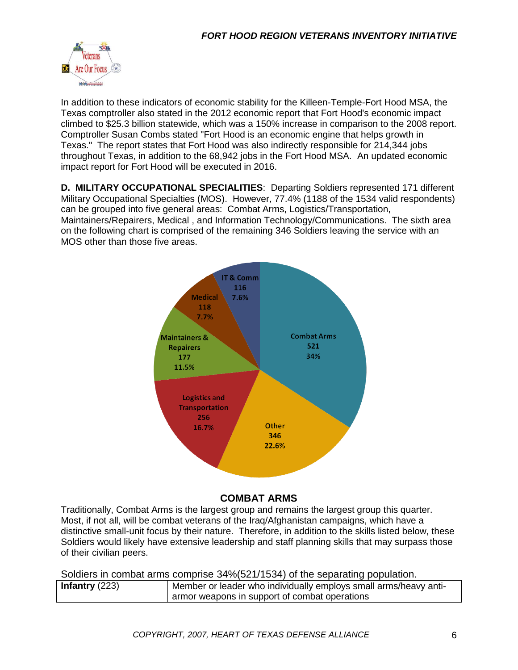

In addition to these indicators of economic stability for the Killeen-Temple-Fort Hood MSA, the Texas comptroller also stated in the 2012 economic report that Fort Hood's economic impact climbed to \$25.3 billion statewide, which was a 150% increase in comparison to the 2008 report. Comptroller Susan Combs stated "Fort Hood is an economic engine that helps growth in Texas." The report states that Fort Hood was also indirectly responsible for 214,344 jobs throughout Texas, in addition to the 68,942 jobs in the Fort Hood MSA. An updated economic impact report for Fort Hood will be executed in 2016.

**D. MILITARY OCCUPATIONAL SPECIALITIES**: Departing Soldiers represented 171 different Military Occupational Specialties (MOS). However, 77.4% (1188 of the 1534 valid respondents) can be grouped into five general areas: Combat Arms, Logistics/Transportation, Maintainers/Repairers, Medical , and Information Technology/Communications. The sixth area on the following chart is comprised of the remaining 346 Soldiers leaving the service with an MOS other than those five areas.



#### **COMBAT ARMS**

Traditionally, Combat Arms is the largest group and remains the largest group this quarter. Most, if not all, will be combat veterans of the Iraq/Afghanistan campaigns, which have a distinctive small-unit focus by their nature. Therefore, in addition to the skills listed below, these Soldiers would likely have extensive leadership and staff planning skills that may surpass those of their civilian peers.

Soldiers in combat arms comprise 34%(521/1534) of the separating population.

| Infantry $(223)$ | Member or leader who individually employs small arms/heavy anti- |
|------------------|------------------------------------------------------------------|
|                  | armor weapons in support of combat operations                    |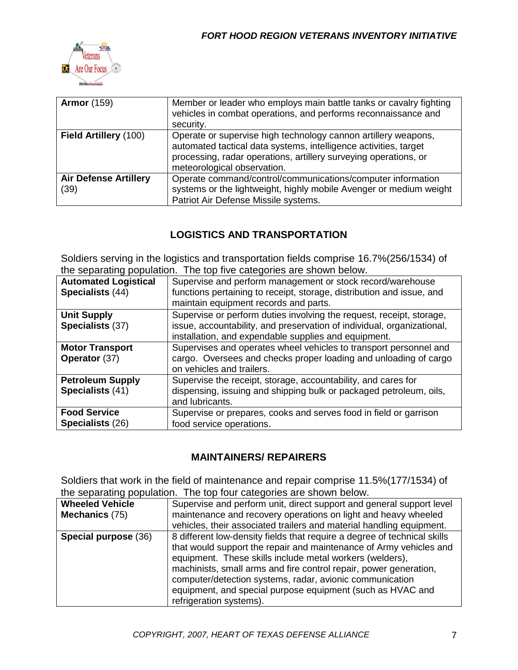

| <b>Armor</b> (159)                   | Member or leader who employs main battle tanks or cavalry fighting<br>vehicles in combat operations, and performs reconnaissance and<br>security.                                                                                     |
|--------------------------------------|---------------------------------------------------------------------------------------------------------------------------------------------------------------------------------------------------------------------------------------|
| Field Artillery (100)                | Operate or supervise high technology cannon artillery weapons,<br>automated tactical data systems, intelligence activities, target<br>processing, radar operations, artillery surveying operations, or<br>meteorological observation. |
| <b>Air Defense Artillery</b><br>(39) | Operate command/control/communications/computer information<br>systems or the lightweight, highly mobile Avenger or medium weight<br>Patriot Air Defense Missile systems.                                                             |

# **LOGISTICS AND TRANSPORTATION**

Soldiers serving in the logistics and transportation fields comprise 16.7%(256/1534) of the separating population. The top five categories are shown below.

| <b>Automated Logistical</b> | Supervise and perform management or stock record/warehouse             |
|-----------------------------|------------------------------------------------------------------------|
| Specialists (44)            | functions pertaining to receipt, storage, distribution and issue, and  |
|                             | maintain equipment records and parts.                                  |
| <b>Unit Supply</b>          | Supervise or perform duties involving the request, receipt, storage,   |
| Specialists (37)            | issue, accountability, and preservation of individual, organizational, |
|                             | installation, and expendable supplies and equipment.                   |
| <b>Motor Transport</b>      | Supervises and operates wheel vehicles to transport personnel and      |
| Operator (37)               | cargo. Oversees and checks proper loading and unloading of cargo       |
|                             | on vehicles and trailers.                                              |
| <b>Petroleum Supply</b>     | Supervise the receipt, storage, accountability, and cares for          |
| Specialists (41)            | dispensing, issuing and shipping bulk or packaged petroleum, oils,     |
|                             | and lubricants.                                                        |
| <b>Food Service</b>         | Supervise or prepares, cooks and serves food in field or garrison      |
| Specialists (26)            | food service operations.                                               |

# **MAINTAINERS/ REPAIRERS**

Soldiers that work in the field of maintenance and repair comprise 11.5%(177/1534) of the separating population. The top four categories are shown below.

| are coparating population. This top roar catogoned are chomic polonic |                                                                          |  |
|-----------------------------------------------------------------------|--------------------------------------------------------------------------|--|
| <b>Wheeled Vehicle</b>                                                | Supervise and perform unit, direct support and general support level     |  |
| <b>Mechanics (75)</b>                                                 | maintenance and recovery operations on light and heavy wheeled           |  |
|                                                                       | vehicles, their associated trailers and material handling equipment.     |  |
| Special purpose (36)                                                  | 8 different low-density fields that require a degree of technical skills |  |
|                                                                       | that would support the repair and maintenance of Army vehicles and       |  |
|                                                                       | equipment. These skills include metal workers (welders),                 |  |
|                                                                       | machinists, small arms and fire control repair, power generation,        |  |
|                                                                       | computer/detection systems, radar, avionic communication                 |  |
|                                                                       | equipment, and special purpose equipment (such as HVAC and               |  |
|                                                                       | refrigeration systems).                                                  |  |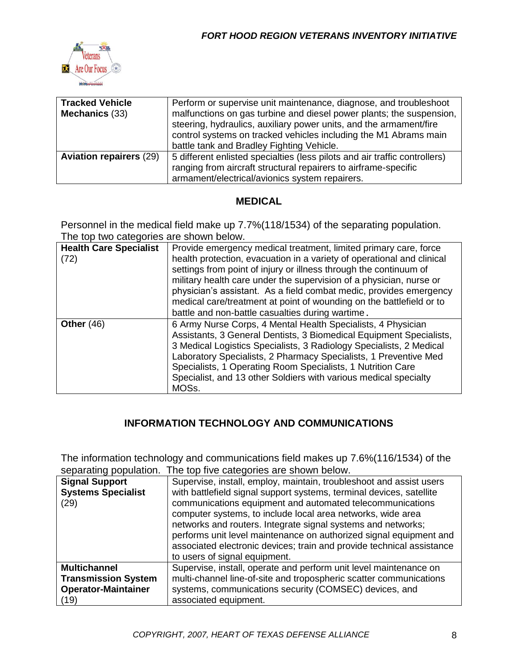

| <b>Tracked Vehicle</b><br><b>Mechanics (33)</b> | Perform or supervise unit maintenance, diagnose, and troubleshoot<br>malfunctions on gas turbine and diesel power plants; the suspension,<br>steering, hydraulics, auxiliary power units, and the armament/fire<br>control systems on tracked vehicles including the M1 Abrams main<br>battle tank and Bradley Fighting Vehicle. |
|-------------------------------------------------|----------------------------------------------------------------------------------------------------------------------------------------------------------------------------------------------------------------------------------------------------------------------------------------------------------------------------------|
| <b>Aviation repairers (29)</b>                  | 5 different enlisted specialties (less pilots and air traffic controllers)<br>ranging from aircraft structural repairers to airframe-specific<br>armament/electrical/avionics system repairers.                                                                                                                                  |

#### **MEDICAL**

Personnel in the medical field make up 7.7%(118/1534) of the separating population. The top two categories are shown below.

| <b>Health Care Specialist</b> | Provide emergency medical treatment, limited primary care, force       |
|-------------------------------|------------------------------------------------------------------------|
| (72)                          | health protection, evacuation in a variety of operational and clinical |
|                               | settings from point of injury or illness through the continuum of      |
|                               | military health care under the supervision of a physician, nurse or    |
|                               | physician's assistant. As a field combat medic, provides emergency     |
|                               | medical care/treatment at point of wounding on the battlefield or to   |
|                               | battle and non-battle casualties during wartime.                       |
| Other $(46)$                  | 6 Army Nurse Corps, 4 Mental Health Specialists, 4 Physician           |
|                               | Assistants, 3 General Dentists, 3 Biomedical Equipment Specialists,    |
|                               | 3 Medical Logistics Specialists, 3 Radiology Specialists, 2 Medical    |
|                               | Laboratory Specialists, 2 Pharmacy Specialists, 1 Preventive Med       |
|                               | Specialists, 1 Operating Room Specialists, 1 Nutrition Care            |
|                               | Specialist, and 13 other Soldiers with various medical specialty       |
|                               | MOSs.                                                                  |

# **INFORMATION TECHNOLOGY AND COMMUNICATIONS**

The information technology and communications field makes up 7.6%(116/1534) of the separating population. The top five categories are shown below.

| <b>Signal Support</b><br><b>Systems Specialist</b><br>(29) | Supervise, install, employ, maintain, troubleshoot and assist users<br>with battlefield signal support systems, terminal devices, satellite<br>communications equipment and automated telecommunications<br>computer systems, to include local area networks, wide area<br>networks and routers. Integrate signal systems and networks;<br>performs unit level maintenance on authorized signal equipment and<br>associated electronic devices; train and provide technical assistance<br>to users of signal equipment. |
|------------------------------------------------------------|-------------------------------------------------------------------------------------------------------------------------------------------------------------------------------------------------------------------------------------------------------------------------------------------------------------------------------------------------------------------------------------------------------------------------------------------------------------------------------------------------------------------------|
|                                                            |                                                                                                                                                                                                                                                                                                                                                                                                                                                                                                                         |
| <b>Multichannel</b>                                        | Supervise, install, operate and perform unit level maintenance on                                                                                                                                                                                                                                                                                                                                                                                                                                                       |
| <b>Transmission System</b>                                 | multi-channel line-of-site and tropospheric scatter communications                                                                                                                                                                                                                                                                                                                                                                                                                                                      |
| <b>Operator-Maintainer</b>                                 | systems, communications security (COMSEC) devices, and                                                                                                                                                                                                                                                                                                                                                                                                                                                                  |
| (19)                                                       | associated equipment.                                                                                                                                                                                                                                                                                                                                                                                                                                                                                                   |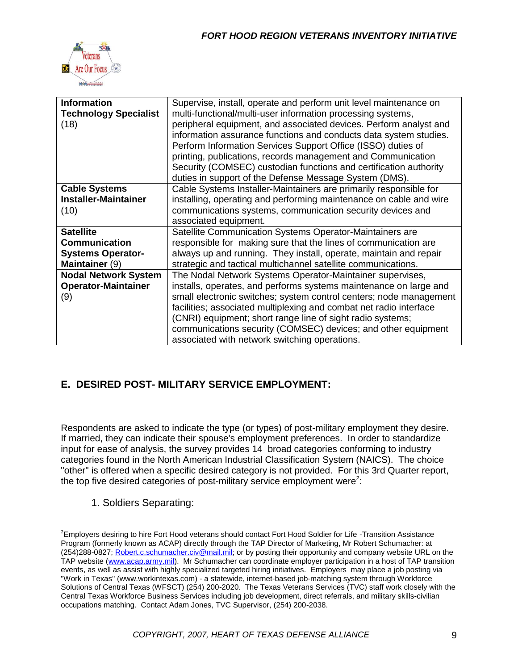

| <b>Information</b>           | Supervise, install, operate and perform unit level maintenance on  |
|------------------------------|--------------------------------------------------------------------|
| <b>Technology Specialist</b> | multi-functional/multi-user information processing systems,        |
| (18)                         | peripheral equipment, and associated devices. Perform analyst and  |
|                              | information assurance functions and conducts data system studies.  |
|                              | Perform Information Services Support Office (ISSO) duties of       |
|                              | printing, publications, records management and Communication       |
|                              | Security (COMSEC) custodian functions and certification authority  |
|                              | duties in support of the Defense Message System (DMS).             |
| <b>Cable Systems</b>         | Cable Systems Installer-Maintainers are primarily responsible for  |
| <b>Installer-Maintainer</b>  | installing, operating and performing maintenance on cable and wire |
| (10)                         | communications systems, communication security devices and         |
|                              | associated equipment.                                              |
| <b>Satellite</b>             | Satellite Communication Systems Operator-Maintainers are           |
| <b>Communication</b>         | responsible for making sure that the lines of communication are    |
| <b>Systems Operator-</b>     | always up and running. They install, operate, maintain and repair  |
| Maintainer (9)               | strategic and tactical multichannel satellite communications.      |
| <b>Nodal Network System</b>  | The Nodal Network Systems Operator-Maintainer supervises,          |
| <b>Operator-Maintainer</b>   | installs, operates, and performs systems maintenance on large and  |
| (9)                          | small electronic switches; system control centers; node management |
|                              | facilities; associated multiplexing and combat net radio interface |
|                              | (CNRI) equipment; short range line of sight radio systems;         |
|                              | communications security (COMSEC) devices; and other equipment      |
|                              | associated with network switching operations.                      |

# **E. DESIRED POST- MILITARY SERVICE EMPLOYMENT:**

Respondents are asked to indicate the type (or types) of post-military employment they desire. If married, they can indicate their spouse's employment preferences. In order to standardize input for ease of analysis, the survey provides 14 broad categories conforming to industry categories found in the North American Industrial Classification System (NAICS). The choice "other" is offered when a specific desired category is not provided. For this 3rd Quarter report, the top five desired categories of post-military service employment were<sup>2</sup>:

1. Soldiers Separating:

<sup>&</sup>lt;sup>2</sup>Employers desiring to hire Fort Hood veterans should contact Fort Hood Soldier for Life -Transition Assistance Program (formerly known as ACAP) directly through the TAP Director of Marketing, Mr Robert Schumacher: at (254)288-0827; [Robert.c.schumacher.civ@mail.mil;](mailto:Robert.c.schumacher.civ@mail.mil) or by posting their opportunity and company website URL on the TAP website [\(www.acap.army.mil\)](http://www.acap.army.mil/). Mr Schumacher can coordinate employer participation in a host of TAP transition events, as well as assist with highly specialized targeted hiring initiatives. Employers may place a job posting via "Work in Texas" (www.workintexas.com) - a statewide, internet-based job-matching system through Workforce Solutions of Central Texas (WFSCT) (254) 200-2020. The Texas Veterans Services (TVC) staff work closely with the Central Texas Workforce Business Services including job development, direct referrals, and military skills-civilian occupations matching. Contact Adam Jones, TVC Supervisor, (254) 200-2038.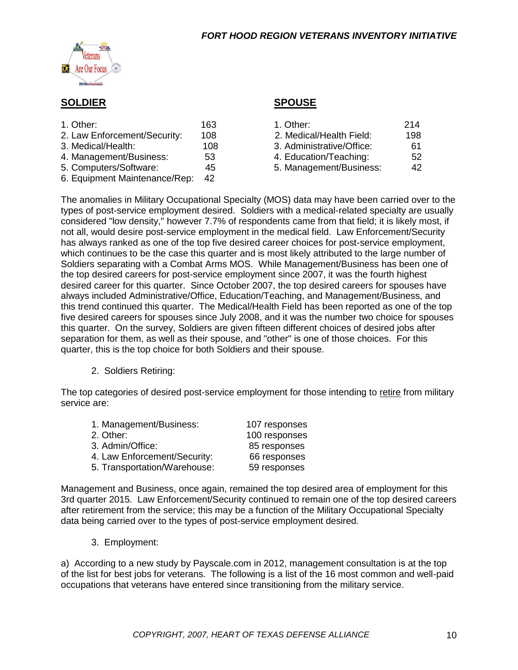

#### **SOLDIER SPOUSE**

|                                     |                           | 214       |
|-------------------------------------|---------------------------|-----------|
|                                     |                           |           |
| 108                                 | 2. Medical/Health Field:  | 198       |
| 108                                 | 3. Administrative/Office: | 61        |
| 53                                  | 4. Education/Teaching:    | 52        |
| 45                                  | 5. Management/Business:   | 42        |
| 6. Equipment Maintenance/Rep:<br>42 |                           |           |
|                                     | 163                       | 1. Other: |

The anomalies in Military Occupational Specialty (MOS) data may have been carried over to the types of post-service employment desired. Soldiers with a medical-related specialty are usually considered "low density," however 7.7% of respondents came from that field; it is likely most, if not all, would desire post-service employment in the medical field. Law Enforcement/Security has always ranked as one of the top five desired career choices for post-service employment, which continues to be the case this quarter and is most likely attributed to the large number of Soldiers separating with a Combat Arms MOS. While Management/Business has been one of the top desired careers for post-service employment since 2007, it was the fourth highest desired career for this quarter. Since October 2007, the top desired careers for spouses have always included Administrative/Office, Education/Teaching, and Management/Business, and this trend continued this quarter. The Medical/Health Field has been reported as one of the top five desired careers for spouses since July 2008, and it was the number two choice for spouses this quarter. On the survey, Soldiers are given fifteen different choices of desired jobs after separation for them, as well as their spouse, and "other" is one of those choices. For this quarter, this is the top choice for both Soldiers and their spouse.

2. Soldiers Retiring:

The top categories of desired post-service employment for those intending to retire from military service are:

| 1. Management/Business:      | 107 responses |
|------------------------------|---------------|
| 2. Other:                    | 100 responses |
| 3. Admin/Office:             | 85 responses  |
| 4. Law Enforcement/Security: | 66 responses  |
| 5. Transportation/Warehouse: | 59 responses  |
|                              |               |

Management and Business, once again, remained the top desired area of employment for this 3rd quarter 2015. Law Enforcement/Security continued to remain one of the top desired careers after retirement from the service; this may be a function of the Military Occupational Specialty data being carried over to the types of post-service employment desired.

3. Employment:

a) According to a new study by Payscale.com in 2012, management consultation is at the top of the list for best jobs for veterans. The following is a list of the 16 most common and well-paid occupations that veterans have entered since transitioning from the military service.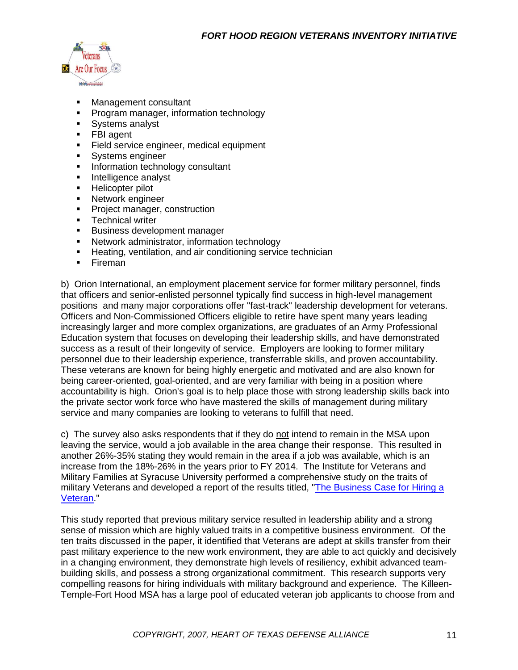

- Management consultant
- Program manager, information technology
- **Systems analyst**
- FBI agent
- **Field service engineer, medical equipment**
- **Systems engineer**
- **Information technology consultant**
- **Intelligence analyst**
- **Helicopter pilot**
- **Network engineer**
- **Project manager, construction**
- **Technical writer**
- **Business development manager**
- Network administrator, information technology
- **Heating, ventilation, and air conditioning service technician**
- **Fireman**

b) Orion International, an employment placement service for former military personnel, finds that officers and senior-enlisted personnel typically find success in high-level management positions and many major corporations offer "fast-track" leadership development for veterans. Officers and Non-Commissioned Officers eligible to retire have spent many years leading increasingly larger and more complex organizations, are graduates of an Army Professional Education system that focuses on developing their leadership skills, and have demonstrated success as a result of their longevity of service. Employers are looking to former military personnel due to their leadership experience, transferrable skills, and proven accountability. These veterans are known for being highly energetic and motivated and are also known for being career-oriented, goal-oriented, and are very familiar with being in a position where accountability is high. Orion's goal is to help place those with strong leadership skills back into the private sector work force who have mastered the skills of management during military service and many companies are looking to veterans to fulfill that need.

c) The survey also asks respondents that if they do not intend to remain in the MSA upon leaving the service, would a job available in the area change their response. This resulted in another 26%-35% stating they would remain in the area if a job was available, which is an increase from the 18%-26% in the years prior to FY 2014. The Institute for Veterans and Military Families at Syracuse University performed a comprehensive study on the traits of military Veterans and developed a report of the results titled, ["The Business Case for Hiring a](The%20Business%20Case%20for%20Hiring%20a%20Veteran%203-6-12.pdf)  [Veteran.](The%20Business%20Case%20for%20Hiring%20a%20Veteran%203-6-12.pdf)"

This study reported that previous military service resulted in leadership ability and a strong sense of mission which are highly valued traits in a competitive business environment. Of the ten traits discussed in the paper, it identified that Veterans are adept at skills transfer from their past military experience to the new work environment, they are able to act quickly and decisively in a changing environment, they demonstrate high levels of resiliency, exhibit advanced teambuilding skills, and possess a strong organizational commitment. This research supports very compelling reasons for hiring individuals with military background and experience. The Killeen-Temple-Fort Hood MSA has a large pool of educated veteran job applicants to choose from and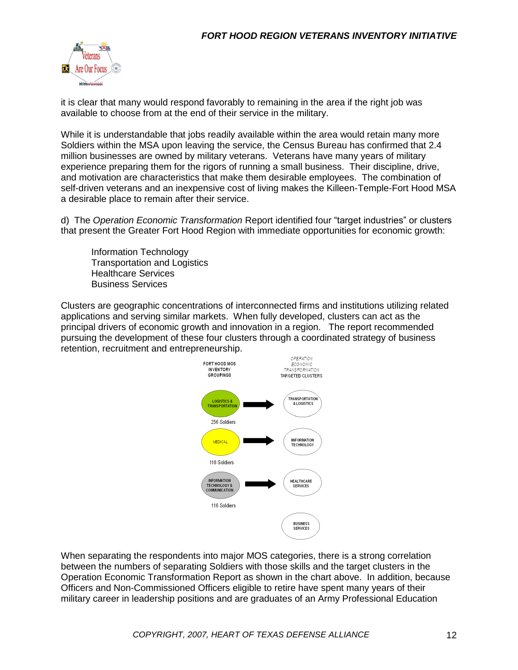

it is clear that many would respond favorably to remaining in the area if the right job was available to choose from at the end of their service in the military.

While it is understandable that jobs readily available within the area would retain many more Soldiers within the MSA upon leaving the service, the Census Bureau has confirmed that 2.4 million businesses are owned by military veterans. Veterans have many years of military experience preparing them for the rigors of running a small business. Their discipline, drive, and motivation are characteristics that make them desirable employees. The combination of self-driven veterans and an inexpensive cost of living makes the Killeen-Temple-Fort Hood MSA a desirable place to remain after their service.

d) The *Operation Economic Transformation* Report identified four "target industries" or clusters that present the Greater Fort Hood Region with immediate opportunities for economic growth:

Information Technology Transportation and Logistics Healthcare Services Business Services

Clusters are geographic concentrations of interconnected firms and institutions utilizing related applications and serving similar markets. When fully developed, clusters can act as the principal drivers of economic growth and innovation in a region. The report recommended pursuing the development of these four clusters through a coordinated strategy of business retention, recruitment and entrepreneurship.



When separating the respondents into major MOS categories, there is a strong correlation between the numbers of separating Soldiers with those skills and the target clusters in the Operation Economic Transformation Report as shown in the chart above. In addition, because Officers and Non-Commissioned Officers eligible to retire have spent many years of their military career in leadership positions and are graduates of an Army Professional Education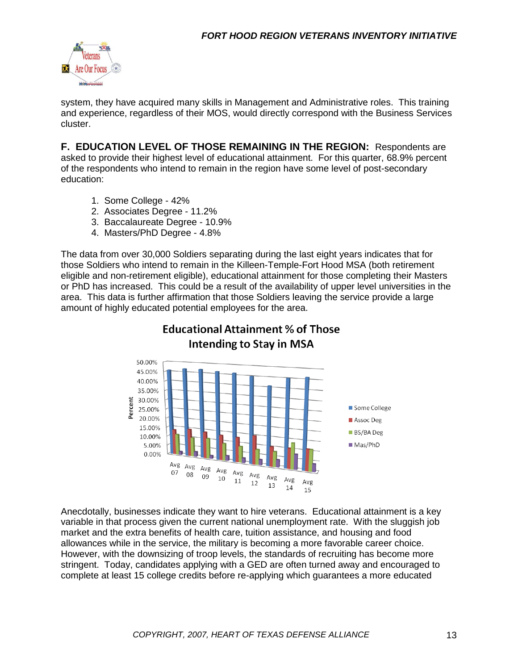

system, they have acquired many skills in Management and Administrative roles. This training and experience, regardless of their MOS, would directly correspond with the Business Services cluster.

**F. EDUCATION LEVEL OF THOSE REMAINING IN THE REGION:** Respondents are asked to provide their highest level of educational attainment. For this quarter, 68.9% percent of the respondents who intend to remain in the region have some level of post-secondary education:

- 1. Some College 42%
- 2. Associates Degree 11.2%
- 3. Baccalaureate Degree 10.9%
- 4. Masters/PhD Degree 4.8%

The data from over 30,000 Soldiers separating during the last eight years indicates that for those Soldiers who intend to remain in the Killeen-Temple-Fort Hood MSA (both retirement eligible and non-retirement eligible), educational attainment for those completing their Masters or PhD has increased. This could be a result of the availability of upper level universities in the area. This data is further affirmation that those Soldiers leaving the service provide a large amount of highly educated potential employees for the area.



# **Educational Attainment % of Those** Intending to Stay in MSA

Anecdotally, businesses indicate they want to hire veterans. Educational attainment is a key variable in that process given the current national unemployment rate. With the sluggish job market and the extra benefits of health care, tuition assistance, and housing and food allowances while in the service, the military is becoming a more favorable career choice. However, with the downsizing of troop levels, the standards of recruiting has become more stringent. Today, candidates applying with a GED are often turned away and encouraged to complete at least 15 college credits before re-applying which guarantees a more educated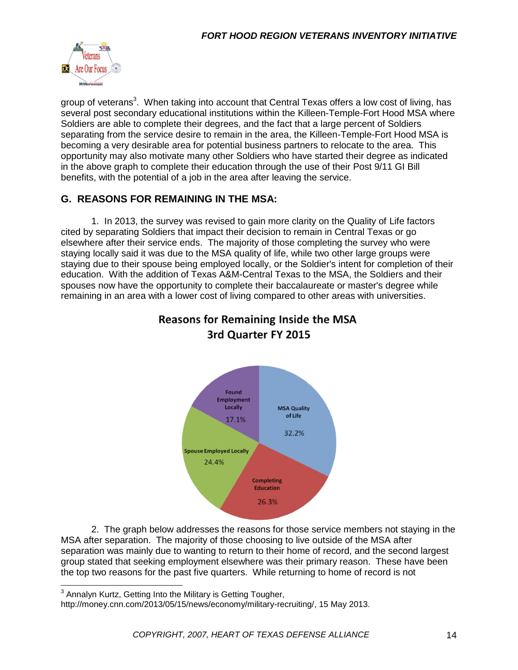

group of veterans<sup>3</sup>. When taking into account that Central Texas offers a low cost of living, has several post secondary educational institutions within the Killeen-Temple-Fort Hood MSA where Soldiers are able to complete their degrees, and the fact that a large percent of Soldiers separating from the service desire to remain in the area, the Killeen-Temple-Fort Hood MSA is becoming a very desirable area for potential business partners to relocate to the area. This opportunity may also motivate many other Soldiers who have started their degree as indicated in the above graph to complete their education through the use of their Post 9/11 GI Bill benefits, with the potential of a job in the area after leaving the service.

#### **G. REASONS FOR REMAINING IN THE MSA:**

1. In 2013, the survey was revised to gain more clarity on the Quality of Life factors cited by separating Soldiers that impact their decision to remain in Central Texas or go elsewhere after their service ends. The majority of those completing the survey who were staying locally said it was due to the MSA quality of life, while two other large groups were staying due to their spouse being employed locally, or the Soldier's intent for completion of their education. With the addition of Texas A&M-Central Texas to the MSA, the Soldiers and their spouses now have the opportunity to complete their baccalaureate or master's degree while remaining in an area with a lower cost of living compared to other areas with universities.



# **Reasons for Remaining Inside the MSA** 3rd Quarter FY 2015

2. The graph below addresses the reasons for those service members not staying in the MSA after separation. The majority of those choosing to live outside of the MSA after separation was mainly due to wanting to return to their home of record, and the second largest group stated that seeking employment elsewhere was their primary reason. These have been the top two reasons for the past five quarters. While returning to home of record is not

 3 Annalyn Kurtz, Getting Into the Military is Getting Tougher,

http://money.cnn.com/2013/05/15/news/economy/military-recruiting/, 15 May 2013.